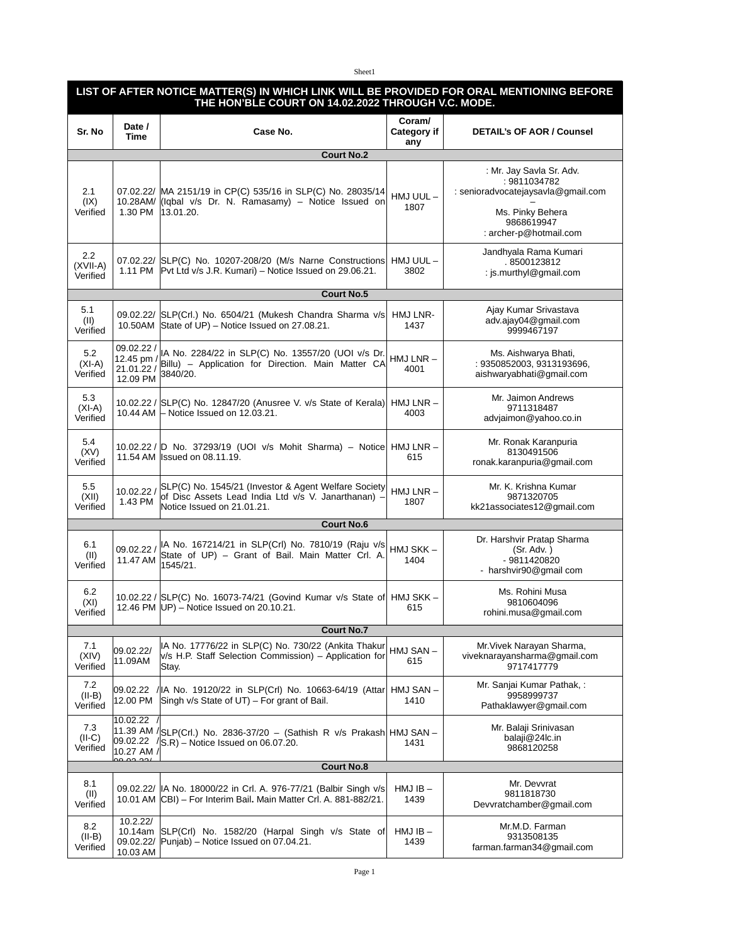## Sheet1

## **LIST OF AFTER NOTICE MATTER(S) IN WHICH LINK WILL BE PROVIDED FOR ORAL MENTIONING BEFORE THE HON'BLE COURT ON 14.02.2022 THROUGH V.C. MODE.**

| Sr. No                      | Date /<br><b>Time</b>                              | Case No.                                                                                                                                     | Coram/<br>Category if<br>any | <b>DETAIL's OF AOR / Counsel</b>                                                                                                           |  |  |  |  |
|-----------------------------|----------------------------------------------------|----------------------------------------------------------------------------------------------------------------------------------------------|------------------------------|--------------------------------------------------------------------------------------------------------------------------------------------|--|--|--|--|
| <b>Court No.2</b>           |                                                    |                                                                                                                                              |                              |                                                                                                                                            |  |  |  |  |
| 2.1<br>(IX)<br>Verified     |                                                    | 07.02.22/  MA 2151/19 in CP(C) 535/16 in SLP(C) No. 28035/14<br>10.28AM/ (Iqbal v/s Dr. N. Ramasamy) - Notice Issued on<br>1.30 PM 13.01.20. | HMJ UUL-<br>1807             | : Mr. Jay Savla Sr. Adv.<br>: 9811034782<br>: senioradvocatejaysavla@gmail.com<br>Ms. Pinky Behera<br>9868619947<br>: archer-p@hotmail.com |  |  |  |  |
| 2.2<br>(XVII-A)<br>Verified | 1.11 PM                                            | 07.02.22/ SLP(C) No. 10207-208/20 (M/s Narne Constructions<br>Pvt Ltd v/s J.R. Kumari) – Notice Issued on 29.06.21.                          | HMJ UUL-<br>3802             | Jandhyala Rama Kumari<br>.8500123812<br>: js.murthyl@gmail.com                                                                             |  |  |  |  |
| <b>Court No.5</b>           |                                                    |                                                                                                                                              |                              |                                                                                                                                            |  |  |  |  |
| 5.1<br>(II)<br>Verified     |                                                    | 09.02.22/ SLP(Crl.) No. 6504/21 (Mukesh Chandra Sharma v/s<br>10.50AM State of UP) – Notice Issued on 27.08.21.                              | HMJ LNR-<br>1437             | Ajay Kumar Srivastava<br>adv.ajay04@gmail.com<br>9999467197                                                                                |  |  |  |  |
| 5.2<br>$(XI-A)$<br>Verified | 09.02.22 /<br>12.45 pm /<br>21.01.22 /<br>12.09 PM | IA No. 2284/22 in SLP(C) No. 13557/20 (UOI v/s Dr.<br>Billu) - Application for Direction. Main Matter CA<br>3840/20.                         | $HMJ LNR -$<br>4001          | Ms. Aishwarya Bhati,<br>: 9350852003, 9313193696,<br>aishwaryabhati@gmail.com                                                              |  |  |  |  |
| 5.3<br>$(XI-A)$<br>Verified |                                                    | 10.02.22 / SLP(C) No. 12847/20 (Anusree V. v/s State of Kerala)<br>10.44 AM $-$ Notice Issued on 12.03.21.                                   | $HMJ LNR -$<br>4003          | Mr. Jaimon Andrews<br>9711318487<br>advjaimon@yahoo.co.in                                                                                  |  |  |  |  |
| 5.4<br>(XV)<br>Verified     |                                                    | 10.02.22 / D No. 37293/19 (UOI v/s Mohit Sharma) – Notice<br>11.54 AM Issued on 08.11.19.                                                    | $HMJ LNR -$<br>615           | Mr. Ronak Karanpuria<br>8130491506<br>ronak.karanpuria@gmail.com                                                                           |  |  |  |  |
| 5.5<br>(XII)<br>Verified    | 10.02.22 /<br>1.43 PM                              | SLP(C) No. 1545/21 (Investor & Agent Welfare Society<br>of Disc Assets Lead India Ltd v/s V. Janarthanan) -<br>Notice Issued on 21.01.21.    | $HMJ LNR -$<br>1807          | Mr. K. Krishna Kumar<br>9871320705<br>kk21associates12@gmail.com                                                                           |  |  |  |  |
|                             |                                                    | <b>Court No.6</b>                                                                                                                            |                              |                                                                                                                                            |  |  |  |  |
| 6.1<br>(II)<br>Verified     | 09.02.22 /<br>11.47 AM                             | IA No. 167214/21 in SLP(Crl) No. 7810/19 (Raju v/s<br>State of UP) - Grant of Bail. Main Matter Crl. A.<br>1545/21.                          | HMJ SKK –<br>1404            | Dr. Harshvir Pratap Sharma<br>(Sr. Adv.)<br>- 9811420820<br>- harshvir90@gmail com                                                         |  |  |  |  |
| 6.2<br>(XI)<br>Verified     |                                                    | 10.02.22 / SLP(C) No. 16073-74/21 (Govind Kumar v/s State of HMJ SKK -<br>12.46 PM   UP) – Notice Issued on 20.10.21.                        | 615                          | Ms. Rohini Musa<br>9810604096<br>rohini.musa@gmail.com                                                                                     |  |  |  |  |
|                             |                                                    | <b>Court No.7</b>                                                                                                                            |                              |                                                                                                                                            |  |  |  |  |
| 7.1<br>(XIV)<br>Verified    | 09.02.22/<br>11.09AM                               | IA No. 17776/22 in SLP(C) No. 730/22 (Ankita Thakur  HMJ SAN -<br>v/s H.P. Staff Selection Commission) - Application for<br>Stay.            | 615                          | Mr.Vivek Narayan Sharma,<br>viveknarayansharma@gmail.com<br>9717417779                                                                     |  |  |  |  |
| 7.2<br>$(II-B)$<br>Verified | 09.02.22<br>12.00 PM                               | / IA No. 19120/22 in SLP(Crl) No. 10663-64/19 (Attar <br>Singh $v/s$ State of $UT$ ) – For grant of Bail.                                    | HMJ SAN-<br>1410             | Mr. Sanjai Kumar Pathak,:<br>9958999737<br>Pathaklawyer@gmail.com                                                                          |  |  |  |  |
| 7.3<br>$(II-C)$<br>Verified | 10.02.22<br>09.02.22<br>10.27 AM /<br>يمم مم مم    | $ 11.39$ AM $\sqrt{ SLP(CrL) }$ No. 2836-37/20 - (Sathish R v/s Prakash HMJ SAN -<br>$ S.R\rangle$ – Notice Issued on 06.07.20.              | 1431                         | Mr. Balaji Srinivasan<br>balaji@24lc.in<br>9868120258                                                                                      |  |  |  |  |
| <b>Court No.8</b>           |                                                    |                                                                                                                                              |                              |                                                                                                                                            |  |  |  |  |
| 8.1<br>(II)<br>Verified     |                                                    | 09.02.22/  IA No. 18000/22 in Crl. A. 976-77/21 (Balbir Singh v/s<br>10.01 AM CBI) - For Interim Bail. Main Matter Crl. A. 881-882/21.       | $HMJIB -$<br>1439            | Mr. Devvrat<br>9811818730<br>Devvratchamber@gmail.com                                                                                      |  |  |  |  |
| 8.2<br>$(II-B)$<br>Verified | 10.2.22/<br>10.14am<br>09.02.22/<br>10.03 AM       | SLP(Crl) No. 1582/20 (Harpal Singh v/s State of<br>Punjab) – Notice Issued on 07.04.21.                                                      | $HMJIB -$<br>1439            | Mr.M.D. Farman<br>9313508135<br>farman.farman34@gmail.com                                                                                  |  |  |  |  |